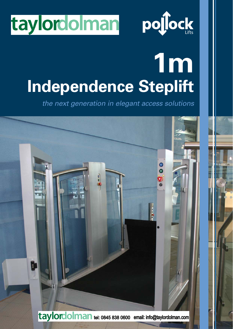



# **1m Independence Steplift**

the next generation in elegant access solutions

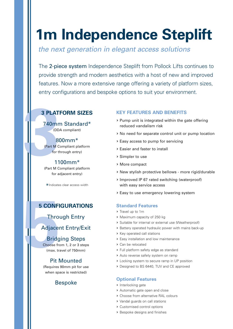# **1m Independence Steplift**

the next generation in elegant access solutions

The 2-piece system Independence Steplift from Pollock Lifts continues to provide strength and modern aesthetics with a host of new and improved features. Now a more extensive range offering a variety of platform sizes, entry configurations and bespoke options to suit your environment.

## **3 PLATFORM SIZES**

**3 PLATI**<br>
740mn<br>
(DD,<br>
(Part M C,<br>
for th<br>
11<br>
(Part M C, 740mm Standard\* (DDA compliant)

# 800mm\*

(Part M Compliant platform for through entry)

#### 1100mm\*

(Part M Compliant platform for adjacent entry)

\*Indicates clear access width

# **5 CONFIGURATIONS**

Through Entry

# Adjacent Entry/Exit

# Bridging Steps

**5 CONFI**<br>
Throu<br>
Adjacer<br>
Bridg<br>
Choose from the Max. tra<br>
Pit M Choose from 1, 2 or 3 steps (max. travel of 750mm)

# Pit Mounted

(Requires 90mm pit for use when space is restricted)

# Bespoke

#### **KEY FEATURES AND BENEFITS**

- > Pump unit is integrated within the gate offering reduced vandalism risk
- > No need for separate control unit or pump location
- > Easy access to pump for servicing
- > Easier and faster to install
- > Simpler to use
- > More compact
- > New stylish protective bellows more rigid/durable
- > Improved IP 67 rated switching (waterproof) with easy service access
- > Easy to use emergency lowering system

#### **Standard Features**

- > Travel up to 1m
- > Maximum capacity of 250 kg
- > Suitable for internal or external use (Weatherproof)
- > Battery operated hydraulic power with mains back-up
- > Key operated call stations
- > Easy installation and low maintenance
- > Can be relocated
- > Full platform safety edge as standard
- > Auto reverse safety system on ramp
- > Locking system to secure ramp in UP position
- > Designed to BS 6440, TUV and CE approved

#### **Optional Features**

- > Interlocking gate
- > Automatic gate open and close
- > Choose from alternative RAL colours
- > Vandal guards on call stations
- > Customised control options
- > Bespoke designs and finishes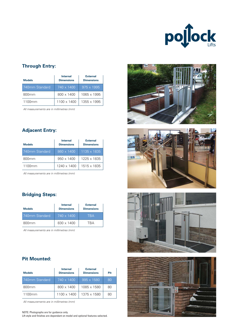

#### **Through Entry:**

| <b>Models</b>  | <b>Internal</b><br><b>Dimensions</b> | <b>External</b><br><b>Dimensions</b> |  |
|----------------|--------------------------------------|--------------------------------------|--|
| 740mm Standard | $740 \times 1400$                    | $.975 \times 1995$                   |  |
| 800mm          | 800 x 1400                           | 1065 x 1995                          |  |
| 1100mm         | 1100 x 1400                          | 1355 x 1995                          |  |

All measurements are in millimetres (mm)

#### **Adjacent Entry:**

| <b>Models</b>  | <b>Internal</b><br><b>Dimensions</b> | <b>External</b><br><b>Dimensions</b> |  |
|----------------|--------------------------------------|--------------------------------------|--|
| 740mm Standard | $860 \times 1400$                    | 1135 x 1835                          |  |
| 800mm          | $950 \times 1400$                    | 1225 x 1835                          |  |
| 1100mm         | 1240 x 1400                          | 1515 x 1835                          |  |

All measurements are in millimetres (mm)

#### **Bridging Steps:**

| <b>Models</b>     | <b>Internal</b><br><b>Dimensions</b> | <b>External</b><br><b>Dimensions</b> |
|-------------------|--------------------------------------|--------------------------------------|
| 740mm Standard    | $740 \times 1400$                    | TRA                                  |
| 800 <sub>mm</sub> | 830 x 1400                           | TRΔ                                  |

All measurements are in millimetres (mm)

#### **Pit Mounted:**

| <b>Models</b>     | <b>Internal</b><br><b>Dimensions</b> | <b>External</b><br><b>Dimensions</b> | Pit |
|-------------------|--------------------------------------|--------------------------------------|-----|
| 740mm Standard    | $740 \times 1400$                    | $995 \times 1580$                    | 80  |
| 800 <sub>mm</sub> | 800 x 1400                           | 1085 x 1580                          | 80  |
| 1100mm            | 1100 x 1400                          | 1375 x 1580                          | 80  |

All measurements are in millimetres (mm)

#### NOTE: Photographs are for guidance only.

Lift style and finishes are dependant on model and optional features selected.